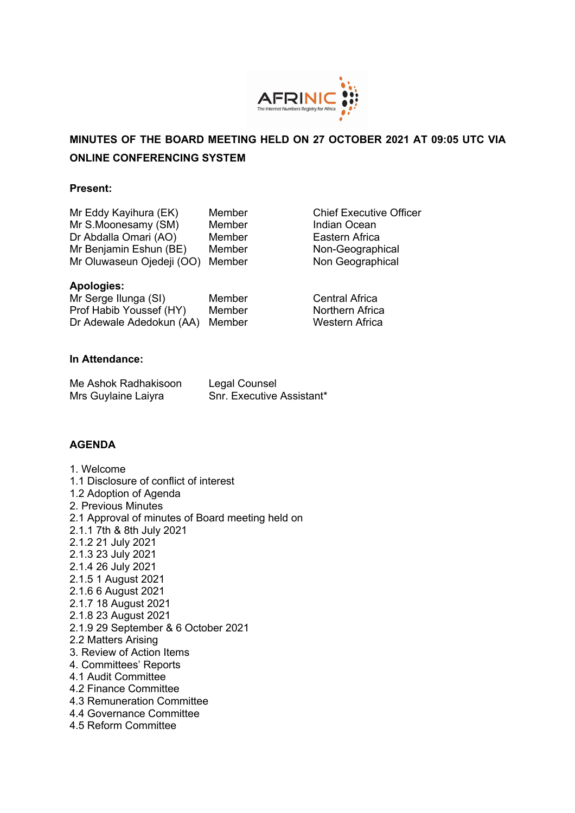

**Chief Executive Officer** 

Indian Ocean Eastern Africa Non-Geographical Non Geographical

# **MINUTES OF THE BOARD MEETING HELD ON 27 OCTOBER 2021 AT 09:05 UTC VIA ONLINE CONFERENCING SYSTEM**

#### **Present:**

| Mr Eddy Kayihura (EK)     | Member |
|---------------------------|--------|
| Mr S.Moonesamy (SM)       | Member |
| Dr Abdalla Omari (AO)     | Member |
| Mr Benjamin Eshun (BE)    | Member |
| Mr Oluwaseun Ojedeji (OO) | Member |

#### **Apologies:**

| Mr Serge Ilunga (SI)            | Member | <b>Central Africa</b>  |
|---------------------------------|--------|------------------------|
| Prof Habib Youssef (HY)         | Member | <b>Northern Africa</b> |
| Dr Adewale Adedokun (AA) Member |        | Western Africa         |

### **In Attendance:**

| Me Ashok Radhakisoon | Legal Counsel                    |
|----------------------|----------------------------------|
| Mrs Guylaine Laiyra  | <b>Snr. Executive Assistant*</b> |

# **AGENDA**

1. Welcome 1.1 Disclosure of conflict of interest 1.2 Adoption of Agenda 2. Previous Minutes 2.1 Approval of minutes of Board meeting held on 2.1.1 7th & 8th July 2021 2.1.2 21 July 2021 2.1.3 23 July 2021 2.1.4 26 July 2021 2.1.5 1 August 2021 2.1.6 6 August 2021 2.1.7 18 August 2021 2.1.8 23 August 2021 2.1.9 29 September & 6 October 2021 2.2 Matters Arising 3. Review of Action Items 4. Committees' Reports 4.1 Audit Committee 4.2 Finance Committee 4.3 Remuneration Committee 4.4 Governance Committee 4.5 Reform Committee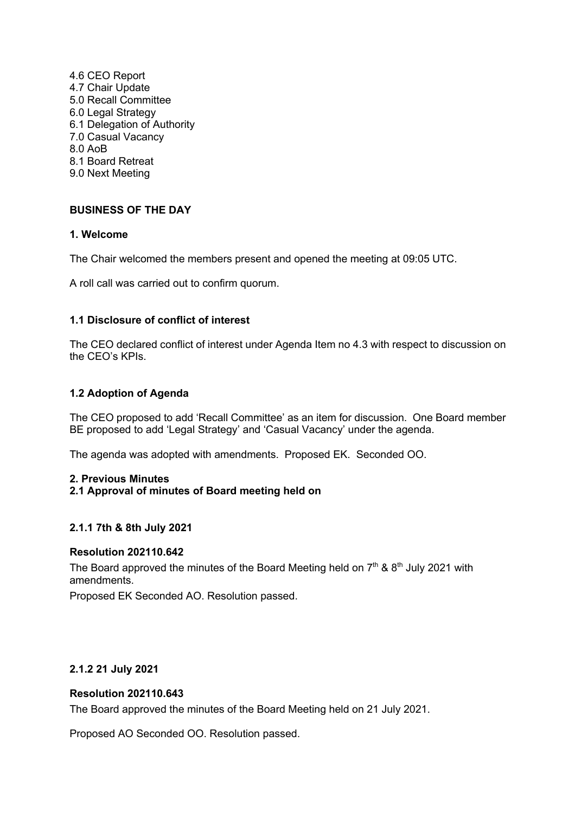4.6 CEO Report 4.7 Chair Update 5.0 Recall Committee 6.0 Legal Strategy 6.1 Delegation of Authority 7.0 Casual Vacancy 8.0 AoB 8.1 Board Retreat 9.0 Next Meeting

# **BUSINESS OF THE DAY**

# **1. Welcome**

The Chair welcomed the members present and opened the meeting at 09:05 UTC.

A roll call was carried out to confirm quorum.

# **1.1 Disclosure of conflict of interest**

The CEO declared conflict of interest under Agenda Item no 4.3 with respect to discussion on the CEO's KPIs.

# **1.2 Adoption of Agenda**

The CEO proposed to add 'Recall Committee' as an item for discussion. One Board member BE proposed to add 'Legal Strategy' and 'Casual Vacancy' under the agenda.

The agenda was adopted with amendments. Proposed EK. Seconded OO.

#### **2. Previous Minutes**

# **2.1 Approval of minutes of Board meeting held on**

# **2.1.1 7th & 8th July 2021**

# **Resolution 202110.642**

The Board approved the minutes of the Board Meeting held on  $7<sup>th</sup>$  &  $8<sup>th</sup>$  July 2021 with amendments.

Proposed EK Seconded AO. Resolution passed.

# **2.1.2 21 July 2021**

# **Resolution 202110.643**

The Board approved the minutes of the Board Meeting held on 21 July 2021.

Proposed AO Seconded OO. Resolution passed.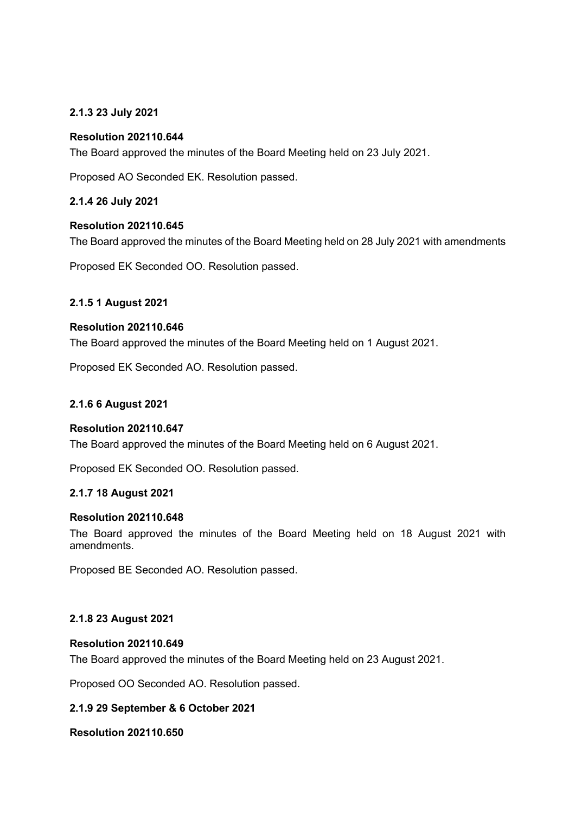# **2.1.3 23 July 2021**

### **Resolution 202110.644**

The Board approved the minutes of the Board Meeting held on 23 July 2021.

Proposed AO Seconded EK. Resolution passed.

**2.1.4 26 July 2021**

#### **Resolution 202110.645**

The Board approved the minutes of the Board Meeting held on 28 July 2021 with amendments

Proposed EK Seconded OO. Resolution passed.

# **2.1.5 1 August 2021**

#### **Resolution 202110.646**

The Board approved the minutes of the Board Meeting held on 1 August 2021.

Proposed EK Seconded AO. Resolution passed.

#### **2.1.6 6 August 2021**

#### **Resolution 202110.647**

The Board approved the minutes of the Board Meeting held on 6 August 2021.

Proposed EK Seconded OO. Resolution passed.

#### **2.1.7 18 August 2021**

#### **Resolution 202110.648**

The Board approved the minutes of the Board Meeting held on 18 August 2021 with amendments.

Proposed BE Seconded AO. Resolution passed.

# **2.1.8 23 August 2021**

#### **Resolution 202110.649**

The Board approved the minutes of the Board Meeting held on 23 August 2021.

Proposed OO Seconded AO. Resolution passed.

# **2.1.9 29 September & 6 October 2021**

**Resolution 202110.650**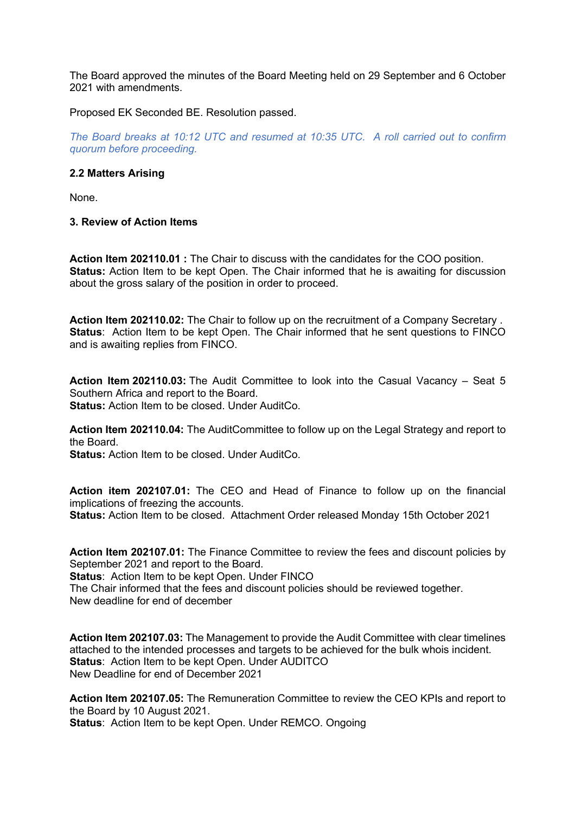The Board approved the minutes of the Board Meeting held on 29 September and 6 October 2021 with amendments.

Proposed EK Seconded BE. Resolution passed.

*The Board breaks at 10:12 UTC and resumed at 10:35 UTC. A roll carried out to confirm quorum before proceeding.*

#### **2.2 Matters Arising**

None.

**3. Review of Action Items**

**Action Item 202110.01 :** The Chair to discuss with the candidates for the COO position. **Status:** Action Item to be kept Open. The Chair informed that he is awaiting for discussion about the gross salary of the position in order to proceed.

**Action Item 202110.02:** The Chair to follow up on the recruitment of a Company Secretary . **Status:** Action Item to be kept Open. The Chair informed that he sent questions to FINCO and is awaiting replies from FINCO.

**Action Item 202110.03:** The Audit Committee to look into the Casual Vacancy – Seat 5 Southern Africa and report to the Board. **Status:** Action Item to be closed. Under AuditCo.

**Action Item 202110.04:** The AuditCommittee to follow up on the Legal Strategy and report to the Board.

**Status:** Action Item to be closed. Under AuditCo.

**Action item 202107.01:** The CEO and Head of Finance to follow up on the financial implications of freezing the accounts. **Status:** Action Item to be closed. Attachment Order released Monday 15th October 2021

**Action Item 202107.01:** The Finance Committee to review the fees and discount policies by September 2021 and report to the Board.

**Status: Action Item to be kept Open. Under FINCO** The Chair informed that the fees and discount policies should be reviewed together. New deadline for end of december

**Action Item 202107.03:** The Management to provide the Audit Committee with clear timelines attached to the intended processes and targets to be achieved for the bulk whois incident. **Status:** Action Item to be kept Open. Under AUDITCO New Deadline for end of December 2021

**Action Item 202107.05:** The Remuneration Committee to review the CEO KPIs and report to the Board by 10 August 2021. **Status**: Action Item to be kept Open. Under REMCO. Ongoing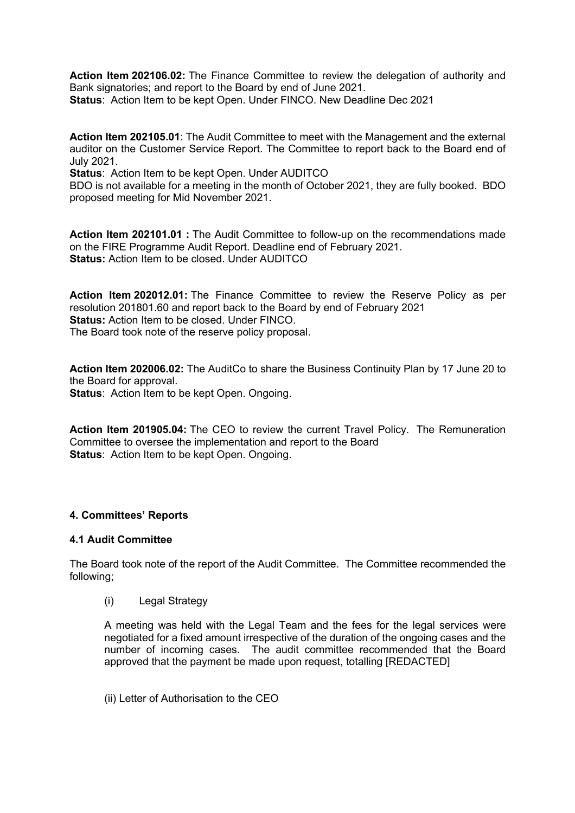**Action Item 202106.02:** The Finance Committee to review the delegation of authority and Bank signatories; and report to the Board by end of June 2021. **Status**: Action Item to be kept Open. Under FINCO. New Deadline Dec 2021

**Action Item 202105.01**: The Audit Committee to meet with the Management and the external auditor on the Customer Service Report. The Committee to report back to the Board end of July 2021.

**Status:** Action Item to be kept Open. Under AUDITCO

BDO is not available for a meeting in the month of October 2021, they are fully booked. BDO proposed meeting for Mid November 2021.

**Action Item 202101.01 :** The Audit Committee to follow-up on the recommendations made on the FIRE Programme Audit Report. Deadline end of February 2021. **Status:** Action Item to be closed. Under AUDITCO

**Action Item 202012.01:** The Finance Committee to review the Reserve Policy as per resolution 201801.60 and report back to the Board by end of February 2021 **Status:** Action Item to be closed. Under FINCO. The Board took note of the reserve policy proposal.

**Action Item 202006.02:** The AuditCo to share the Business Continuity Plan by 17 June 20 to the Board for approval. **Status:** Action Item to be kept Open. Ongoing.

**Action Item 201905.04:** The CEO to review the current Travel Policy. The Remuneration Committee to oversee the implementation and report to the Board **Status:** Action Item to be kept Open. Ongoing.

# **4. Committees' Reports**

# **4.1 Audit Committee**

The Board took note of the report of the Audit Committee. The Committee recommended the following;

(i) Legal Strategy

A meeting was held with the Legal Team and the fees for the legal services were negotiated for a fixed amount irrespective of the duration of the ongoing cases and the number of incoming cases. The audit committee recommended that the Board approved that the payment be made upon request, totalling [REDACTED]

(ii) Letter of Authorisation to the CEO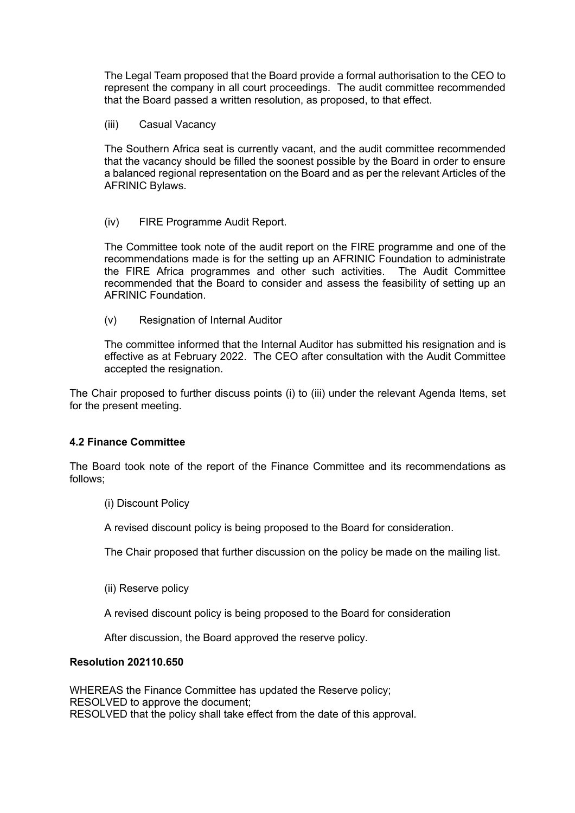The Legal Team proposed that the Board provide a formal authorisation to the CEO to represent the company in all court proceedings. The audit committee recommended that the Board passed a written resolution, as proposed, to that effect.

(iii) Casual Vacancy

The Southern Africa seat is currently vacant, and the audit committee recommended that the vacancy should be filled the soonest possible by the Board in order to ensure a balanced regional representation on the Board and as per the relevant Articles of the AFRINIC Bylaws.

(iv) FIRE Programme Audit Report.

The Committee took note of the audit report on the FIRE programme and one of the recommendations made is for the setting up an AFRINIC Foundation to administrate the FIRE Africa programmes and other such activities. The Audit Committee recommended that the Board to consider and assess the feasibility of setting up an AFRINIC Foundation.

(v) Resignation of Internal Auditor

The committee informed that the Internal Auditor has submitted his resignation and is effective as at February 2022. The CEO after consultation with the Audit Committee accepted the resignation.

The Chair proposed to further discuss points (i) to (iii) under the relevant Agenda Items, set for the present meeting.

# **4.2 Finance Committee**

The Board took note of the report of the Finance Committee and its recommendations as follows;

(i) Discount Policy

A revised discount policy is being proposed to the Board for consideration.

The Chair proposed that further discussion on the policy be made on the mailing list.

(ii) Reserve policy

A revised discount policy is being proposed to the Board for consideration

After discussion, the Board approved the reserve policy.

#### **Resolution 202110.650**

WHEREAS the Finance Committee has updated the Reserve policy; RESOLVED to approve the document; RESOLVED that the policy shall take effect from the date of this approval.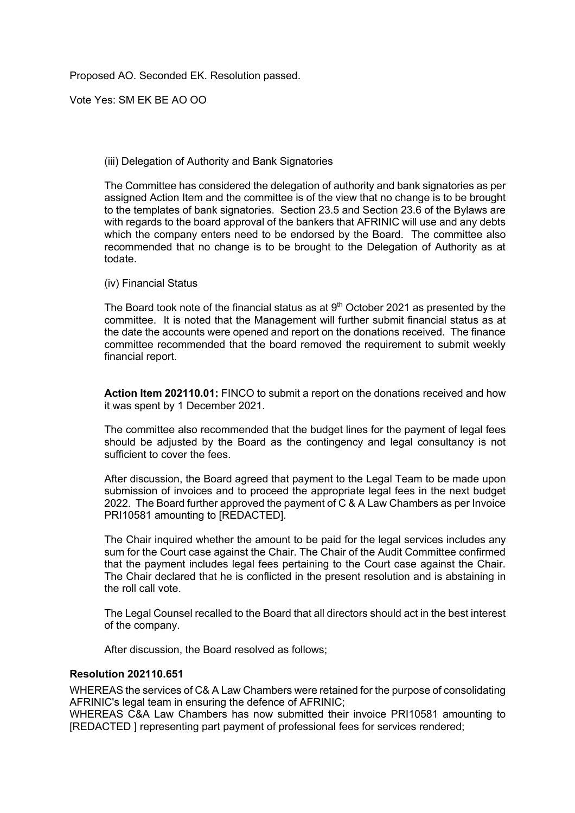Proposed AO. Seconded EK. Resolution passed.

Vote Yes: SM EK BE AO OO

### (iii) Delegation of Authority and Bank Signatories

The Committee has considered the delegation of authority and bank signatories as per assigned Action Item and the committee is of the view that no change is to be brought to the templates of bank signatories. Section 23.5 and Section 23.6 of the Bylaws are with regards to the board approval of the bankers that AFRINIC will use and any debts which the company enters need to be endorsed by the Board. The committee also recommended that no change is to be brought to the Delegation of Authority as at todate.

(iv) Financial Status

The Board took note of the financial status as at  $9<sup>th</sup>$  October 2021 as presented by the committee. It is noted that the Management will further submit financial status as at the date the accounts were opened and report on the donations received. The finance committee recommended that the board removed the requirement to submit weekly financial report.

**Action Item 202110.01:** FINCO to submit a report on the donations received and how it was spent by 1 December 2021.

The committee also recommended that the budget lines for the payment of legal fees should be adjusted by the Board as the contingency and legal consultancy is not sufficient to cover the fees.

After discussion, the Board agreed that payment to the Legal Team to be made upon submission of invoices and to proceed the appropriate legal fees in the next budget 2022. The Board further approved the payment of C & A Law Chambers as per Invoice PRI10581 amounting to [REDACTED].

The Chair inquired whether the amount to be paid for the legal services includes any sum for the Court case against the Chair. The Chair of the Audit Committee confirmed that the payment includes legal fees pertaining to the Court case against the Chair. The Chair declared that he is conflicted in the present resolution and is abstaining in the roll call vote.

The Legal Counsel recalled to the Board that all directors should act in the best interest of the company.

After discussion, the Board resolved as follows;

#### **Resolution 202110.651**

WHEREAS the services of C& A Law Chambers were retained for the purpose of consolidating AFRINIC's legal team in ensuring the defence of AFRINIC;

WHEREAS C&A Law Chambers has now submitted their invoice PRI10581 amounting to [REDACTED ] representing part payment of professional fees for services rendered;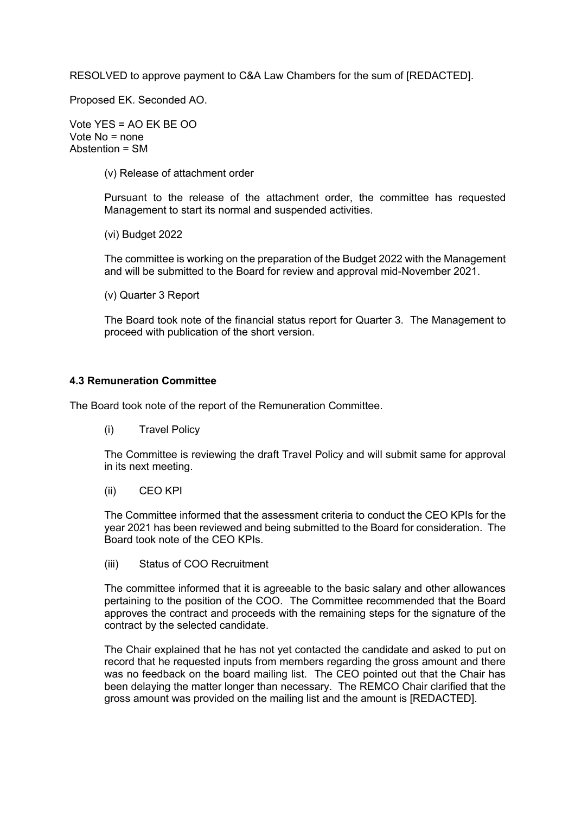RESOLVED to approve payment to C&A Law Chambers for the sum of [REDACTED].

Proposed EK. Seconded AO.

Vote YES = AO EK BE OO Vote No = none Abstention = SM

(v) Release of attachment order

Pursuant to the release of the attachment order, the committee has requested Management to start its normal and suspended activities.

(vi) Budget 2022

The committee is working on the preparation of the Budget 2022 with the Management and will be submitted to the Board for review and approval mid-November 2021.

(v) Quarter 3 Report

The Board took note of the financial status report for Quarter 3. The Management to proceed with publication of the short version.

#### **4.3 Remuneration Committee**

The Board took note of the report of the Remuneration Committee.

(i) Travel Policy

The Committee is reviewing the draft Travel Policy and will submit same for approval in its next meeting.

(ii) CEO KPI

The Committee informed that the assessment criteria to conduct the CEO KPIs for the year 2021 has been reviewed and being submitted to the Board for consideration. The Board took note of the CEO KPIs.

(iii) Status of COO Recruitment

The committee informed that it is agreeable to the basic salary and other allowances pertaining to the position of the COO. The Committee recommended that the Board approves the contract and proceeds with the remaining steps for the signature of the contract by the selected candidate.

The Chair explained that he has not yet contacted the candidate and asked to put on record that he requested inputs from members regarding the gross amount and there was no feedback on the board mailing list. The CEO pointed out that the Chair has been delaying the matter longer than necessary. The REMCO Chair clarified that the gross amount was provided on the mailing list and the amount is [REDACTED].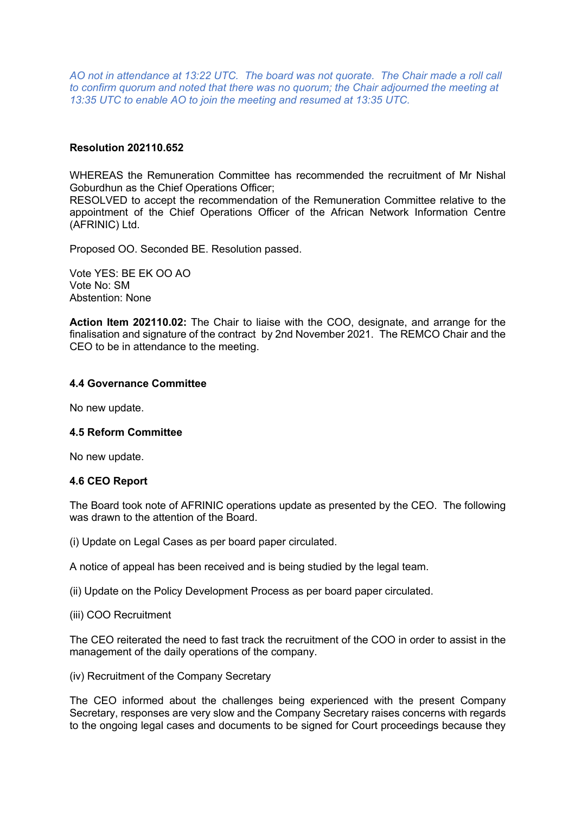*AO not in attendance at 13:22 UTC. The board was not quorate. The Chair made a roll call to confirm quorum and noted that there was no quorum; the Chair adjourned the meeting at 13:35 UTC to enable AO to join the meeting and resumed at 13:35 UTC.*

#### **Resolution 202110.652**

WHEREAS the Remuneration Committee has recommended the recruitment of Mr Nishal Goburdhun as the Chief Operations Officer;

RESOLVED to accept the recommendation of the Remuneration Committee relative to the appointment of the Chief Operations Officer of the African Network Information Centre (AFRINIC) Ltd.

Proposed OO. Seconded BE. Resolution passed.

Vote YES: BE EK OO AO Vote No: SM Abstention: None

**Action Item 202110.02:** The Chair to liaise with the COO, designate, and arrange for the finalisation and signature of the contract by 2nd November 2021. The REMCO Chair and the CEO to be in attendance to the meeting.

#### **4.4 Governance Committee**

No new update.

#### **4.5 Reform Committee**

No new update.

#### **4.6 CEO Report**

The Board took note of AFRINIC operations update as presented by the CEO. The following was drawn to the attention of the Board.

(i) Update on Legal Cases as per board paper circulated.

A notice of appeal has been received and is being studied by the legal team.

(ii) Update on the Policy Development Process as per board paper circulated.

(iii) COO Recruitment

The CEO reiterated the need to fast track the recruitment of the COO in order to assist in the management of the daily operations of the company.

(iv) Recruitment of the Company Secretary

The CEO informed about the challenges being experienced with the present Company Secretary, responses are very slow and the Company Secretary raises concerns with regards to the ongoing legal cases and documents to be signed for Court proceedings because they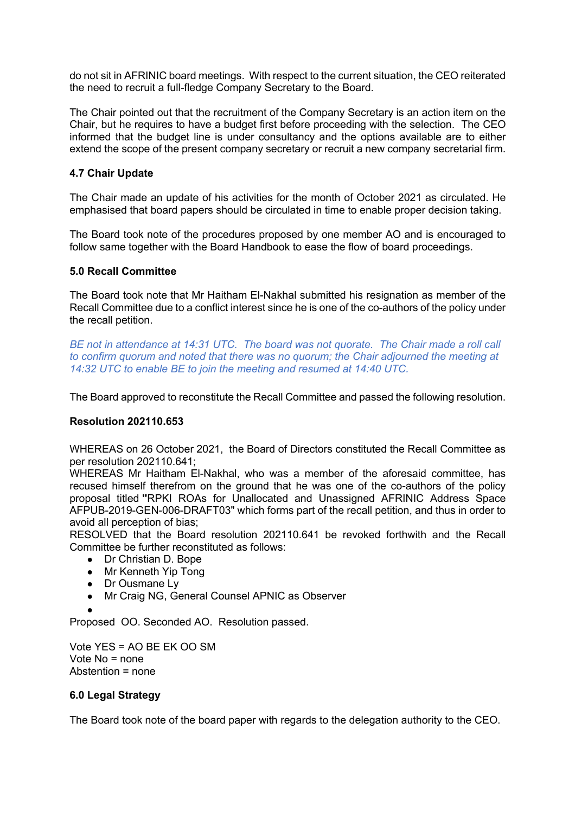do not sit in AFRINIC board meetings. With respect to the current situation, the CEO reiterated the need to recruit a full-fledge Company Secretary to the Board.

The Chair pointed out that the recruitment of the Company Secretary is an action item on the Chair, but he requires to have a budget first before proceeding with the selection. The CEO informed that the budget line is under consultancy and the options available are to either extend the scope of the present company secretary or recruit a new company secretarial firm.

# **4.7 Chair Update**

The Chair made an update of his activities for the month of October 2021 as circulated. He emphasised that board papers should be circulated in time to enable proper decision taking.

The Board took note of the procedures proposed by one member AO and is encouraged to follow same together with the Board Handbook to ease the flow of board proceedings.

#### **5.0 Recall Committee**

The Board took note that Mr Haitham El-Nakhal submitted his resignation as member of the Recall Committee due to a conflict interest since he is one of the co-authors of the policy under the recall petition.

*BE not in attendance at 14:31 UTC. The board was not quorate. The Chair made a roll call to confirm quorum and noted that there was no quorum; the Chair adjourned the meeting at 14:32 UTC to enable BE to join the meeting and resumed at 14:40 UTC.*

The Board approved to reconstitute the Recall Committee and passed the following resolution.

# **Resolution 202110.653**

WHEREAS on 26 October 2021, the Board of Directors constituted the Recall Committee as per resolution 202110.641;

WHEREAS Mr Haitham El-Nakhal, who was a member of the aforesaid committee, has recused himself therefrom on the ground that he was one of the co-authors of the policy proposal titled **"**RPKI ROAs for Unallocated and Unassigned AFRINIC Address Space AFPUB-2019-GEN-006-DRAFT03" which forms part of the recall petition, and thus in order to avoid all perception of bias;

RESOLVED that the Board resolution 202110.641 be revoked forthwith and the Recall Committee be further reconstituted as follows:

- Dr Christian D. Bope
- Mr Kenneth Yip Tong
- Dr Ousmane Lv
- Mr Craig NG, General Counsel APNIC as Observer
- ●

Proposed OO. Seconded AO. Resolution passed.

Vote YES = AO BE EK OO SM Vote No = none Abstention = none

# **6.0 Legal Strategy**

The Board took note of the board paper with regards to the delegation authority to the CEO.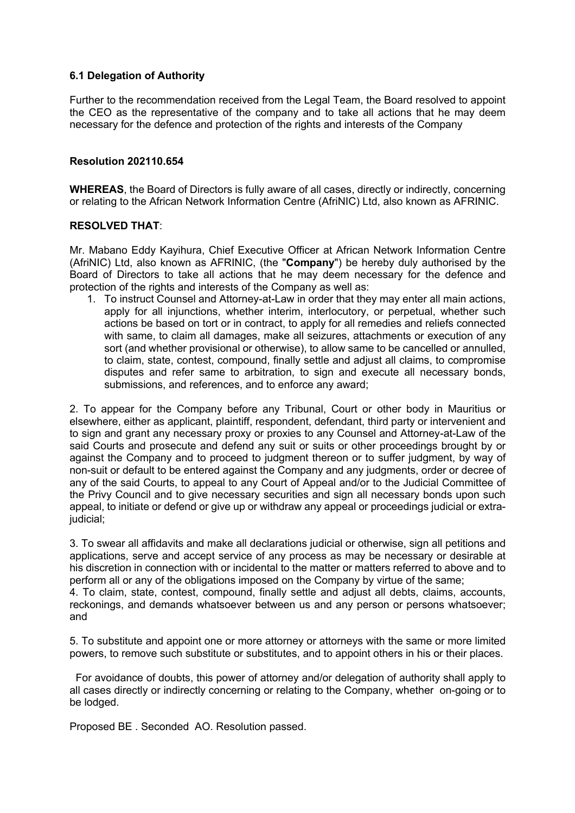### **6.1 Delegation of Authority**

Further to the recommendation received from the Legal Team, the Board resolved to appoint the CEO as the representative of the company and to take all actions that he may deem necessary for the defence and protection of the rights and interests of the Company

#### **Resolution 202110.654**

**WHEREAS**, the Board of Directors is fully aware of all cases, directly or indirectly, concerning or relating to the African Network Information Centre (AfriNIC) Ltd, also known as AFRINIC.

#### **RESOLVED THAT**:

Mr. Mabano Eddy Kayihura, Chief Executive Officer at African Network Information Centre (AfriNIC) Ltd, also known as AFRINIC, (the "**Company**") be hereby duly authorised by the Board of Directors to take all actions that he may deem necessary for the defence and protection of the rights and interests of the Company as well as:

1. To instruct Counsel and Attorney-at-Law in order that they may enter all main actions, apply for all injunctions, whether interim, interlocutory, or perpetual, whether such actions be based on tort or in contract, to apply for all remedies and reliefs connected with same, to claim all damages, make all seizures, attachments or execution of any sort (and whether provisional or otherwise), to allow same to be cancelled or annulled, to claim, state, contest, compound, finally settle and adjust all claims, to compromise disputes and refer same to arbitration, to sign and execute all necessary bonds, submissions, and references, and to enforce any award;

2. To appear for the Company before any Tribunal, Court or other body in Mauritius or elsewhere, either as applicant, plaintiff, respondent, defendant, third party or intervenient and to sign and grant any necessary proxy or proxies to any Counsel and Attorney-at-Law of the said Courts and prosecute and defend any suit or suits or other proceedings brought by or against the Company and to proceed to judgment thereon or to suffer judgment, by way of non-suit or default to be entered against the Company and any judgments, order or decree of any of the said Courts, to appeal to any Court of Appeal and/or to the Judicial Committee of the Privy Council and to give necessary securities and sign all necessary bonds upon such appeal, to initiate or defend or give up or withdraw any appeal or proceedings judicial or extrajudicial;

3. To swear all affidavits and make all declarations judicial or otherwise, sign all petitions and applications, serve and accept service of any process as may be necessary or desirable at his discretion in connection with or incidental to the matter or matters referred to above and to perform all or any of the obligations imposed on the Company by virtue of the same;

4. To claim, state, contest, compound, finally settle and adjust all debts, claims, accounts, reckonings, and demands whatsoever between us and any person or persons whatsoever; and

5. To substitute and appoint one or more attorney or attorneys with the same or more limited powers, to remove such substitute or substitutes, and to appoint others in his or their places.

For avoidance of doubts, this power of attorney and/or delegation of authority shall apply to all cases directly or indirectly concerning or relating to the Company, whether on-going or to be lodged.

Proposed BE . Seconded AO. Resolution passed.